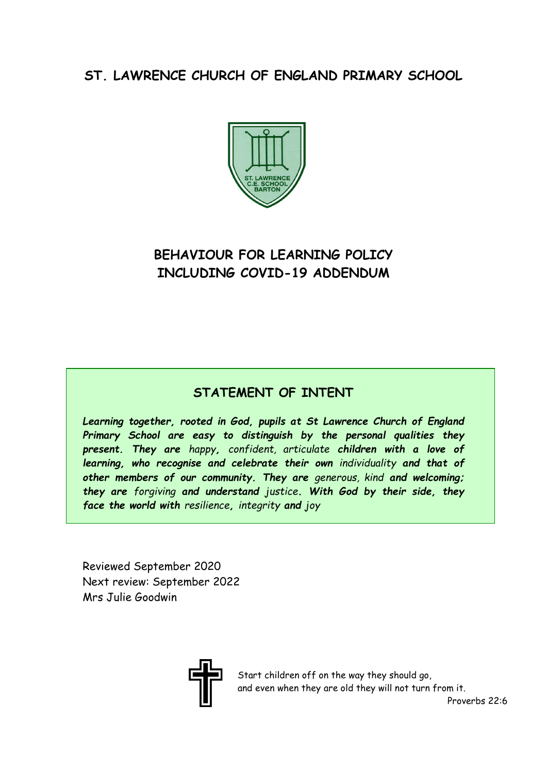# **ST. LAWRENCE CHURCH OF ENGLAND PRIMARY SCHOOL**



# **BEHAVIOUR FOR LEARNING POLICY INCLUDING COVID-19 ADDENDUM**

# **STATEMENT OF INTENT**

*Learning together, rooted in God, pupils at St Lawrence Church of England Primary School are easy to distinguish by the personal qualities they present. They are happy, confident, articulate children with a love of learning, who recognise and celebrate their own individuality and that of other members of our community. They are generous, kind and welcoming; they are forgiving and understand justice. With God by their side, they face the world with resilience, integrity and joy*

Reviewed September 2020 Next review: September 2022 Mrs Julie Goodwin



Start children off on the way they should go, and even when they are old they will not turn from it.

Proverbs 22:6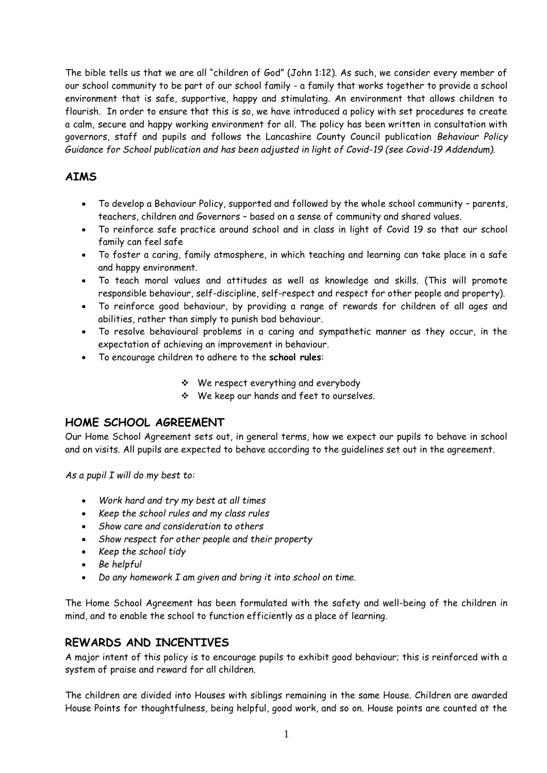The bible tells us that we are all "children of God" (John 1:12). As such, we consider every member of our school community to be part of our school family - a family that works together to provide a school environment that is safe, supportive, happy and stimulating. An environment that allows children to flourish. In order to ensure that this is so, we have introduced a policy with set procedures to create a calm, secure and happy working environment for all. The policy has been written in consultation with governors, staff and pupils and follows the Lancashire County Council publication *Behaviour Policy Guidance for School publication and has been adjusted in light of Covid-19 (see Covid-19 Addendum).* 

# **AIMS**

- To develop a Behaviour Policy, supported and followed by the whole school community parents, teachers, children and Governors – based on a sense of community and shared values.
- To reinforce safe practice around school and in class in light of Covid 19 so that our school family can feel safe
- To foster a caring, family atmosphere, in which teaching and learning can take place in a safe and happy environment.
- To teach moral values and attitudes as well as knowledge and skills. (This will promote responsible behaviour, self-discipline, self-respect and respect for other people and property).
- To reinforce good behaviour, by providing a range of rewards for children of all ages and abilities, rather than simply to punish bad behaviour.
- To resolve behavioural problems in a caring and sympathetic manner as they occur, in the expectation of achieving an improvement in behaviour.
- To encourage children to adhere to the **school rules**:
	- We respect everything and everybody
	- We keep our hands and feet to ourselves.

# **HOME SCHOOL AGREEMENT**

Our Home School Agreement sets out, in general terms, how we expect our pupils to behave in school and on visits. All pupils are expected to behave according to the guidelines set out in the agreement.

*As a pupil I will do my best to:*

- *Work hard and try my best at all times*
- *Keep the school rules and my class rules*
- *Show care and consideration to others*
- *Show respect for other people and their property*
- *Keep the school tidy*
- *Be helpful*
- *Do any homework I am given and bring it into school on time.*

The Home School Agreement has been formulated with the safety and well-being of the children in mind, and to enable the school to function efficiently as a place of learning.

## **REWARDS AND INCENTIVES**

A major intent of this policy is to encourage pupils to exhibit good behaviour; this is reinforced with a system of praise and reward for all children.

The children are divided into Houses with siblings remaining in the same House. Children are awarded House Points for thoughtfulness, being helpful, good work, and so on. House points are counted at the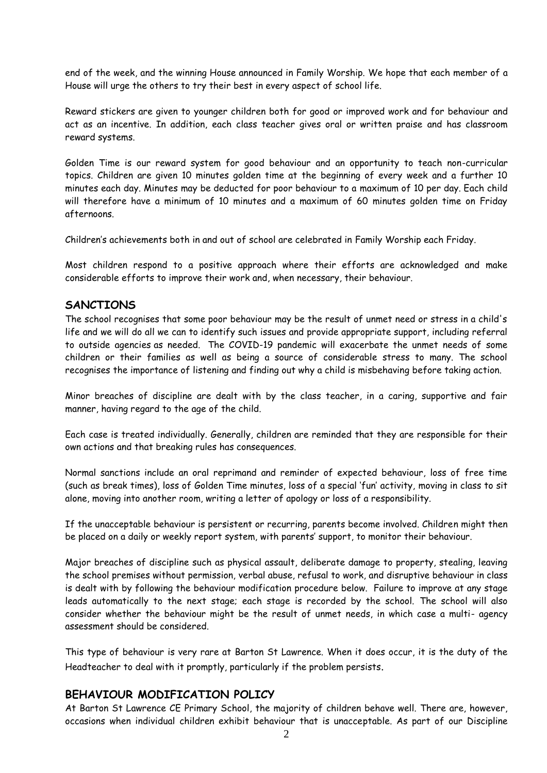end of the week, and the winning House announced in Family Worship. We hope that each member of a House will urge the others to try their best in every aspect of school life.

Reward stickers are given to younger children both for good or improved work and for behaviour and act as an incentive. In addition, each class teacher gives oral or written praise and has classroom reward systems.

Golden Time is our reward system for good behaviour and an opportunity to teach non-curricular topics. Children are given 10 minutes golden time at the beginning of every week and a further 10 minutes each day. Minutes may be deducted for poor behaviour to a maximum of 10 per day. Each child will therefore have a minimum of 10 minutes and a maximum of 60 minutes golden time on Friday afternoons.

Children's achievements both in and out of school are celebrated in Family Worship each Friday.

Most children respond to a positive approach where their efforts are acknowledged and make considerable efforts to improve their work and, when necessary, their behaviour.

#### **SANCTIONS**

The school recognises that some poor behaviour may be the result of unmet need or stress in a child's life and we will do all we can to identify such issues and provide appropriate support, including referral to outside agencies as needed. The COVID-19 pandemic will exacerbate the unmet needs of some children or their families as well as being a source of considerable stress to many. The school recognises the importance of listening and finding out why a child is misbehaving before taking action.

Minor breaches of discipline are dealt with by the class teacher, in a caring, supportive and fair manner, having regard to the age of the child.

Each case is treated individually. Generally, children are reminded that they are responsible for their own actions and that breaking rules has consequences.

Normal sanctions include an oral reprimand and reminder of expected behaviour, loss of free time (such as break times), loss of Golden Time minutes, loss of a special 'fun' activity, moving in class to sit alone, moving into another room, writing a letter of apology or loss of a responsibility.

If the unacceptable behaviour is persistent or recurring, parents become involved. Children might then be placed on a daily or weekly report system, with parents' support, to monitor their behaviour.

Major breaches of discipline such as physical assault, deliberate damage to property, stealing, leaving the school premises without permission, verbal abuse, refusal to work, and disruptive behaviour in class is dealt with by following the behaviour modification procedure below. Failure to improve at any stage leads automatically to the next stage; each stage is recorded by the school. The school will also consider whether the behaviour might be the result of unmet needs, in which case a multi- agency assessment should be considered.

This type of behaviour is very rare at Barton St Lawrence. When it does occur, it is the duty of the Headteacher to deal with it promptly, particularly if the problem persists.

## **BEHAVIOUR MODIFICATION POLICY**

At Barton St Lawrence CE Primary School, the majority of children behave well. There are, however, occasions when individual children exhibit behaviour that is unacceptable. As part of our Discipline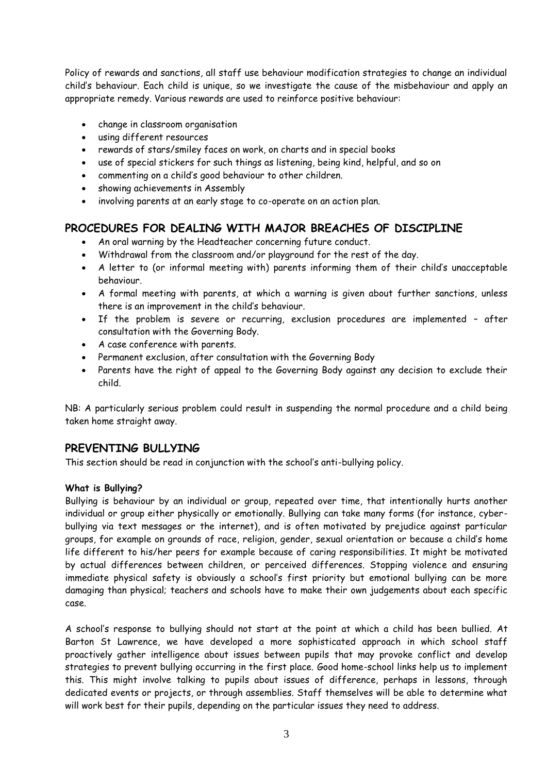Policy of rewards and sanctions, all staff use behaviour modification strategies to change an individual child's behaviour. Each child is unique, so we investigate the cause of the misbehaviour and apply an appropriate remedy. Various rewards are used to reinforce positive behaviour:

- change in classroom organisation
- using different resources
- rewards of stars/smiley faces on work, on charts and in special books
- use of special stickers for such things as listening, being kind, helpful, and so on
- commenting on a child's good behaviour to other children.
- showing achievements in Assembly
- involving parents at an early stage to co-operate on an action plan.

#### **PROCEDURES FOR DEALING WITH MAJOR BREACHES OF DISCIPLINE**

- An oral warning by the Headteacher concerning future conduct.
- Withdrawal from the classroom and/or playground for the rest of the day.
- A letter to (or informal meeting with) parents informing them of their child's unacceptable behaviour.
- A formal meeting with parents, at which a warning is given about further sanctions, unless there is an improvement in the child's behaviour.
- If the problem is severe or recurring, exclusion procedures are implemented after consultation with the Governing Body.
- A case conference with parents.
- Permanent exclusion, after consultation with the Governing Body
- Parents have the right of appeal to the Governing Body against any decision to exclude their child.

NB: A particularly serious problem could result in suspending the normal procedure and a child being taken home straight away.

#### **PREVENTING BULLYING**

This section should be read in conjunction with the school's anti-bullying policy.

#### **What is Bullying?**

Bullying is behaviour by an individual or group, repeated over time, that intentionally hurts another individual or group either physically or emotionally. Bullying can take many forms (for instance, cyberbullying via text messages or the internet), and is often motivated by prejudice against particular groups, for example on grounds of race, religion, gender, sexual orientation or because a child's home life different to his/her peers for example because of caring responsibilities. It might be motivated by actual differences between children, or perceived differences. Stopping violence and ensuring immediate physical safety is obviously a school's first priority but emotional bullying can be more damaging than physical; teachers and schools have to make their own judgements about each specific case.

A school's response to bullying should not start at the point at which a child has been bullied. At Barton St Lawrence, we have developed a more sophisticated approach in which school staff proactively gather intelligence about issues between pupils that may provoke conflict and develop strategies to prevent bullying occurring in the first place. Good home-school links help us to implement this. This might involve talking to pupils about issues of difference, perhaps in lessons, through dedicated events or projects, or through assemblies. Staff themselves will be able to determine what will work best for their pupils, depending on the particular issues they need to address.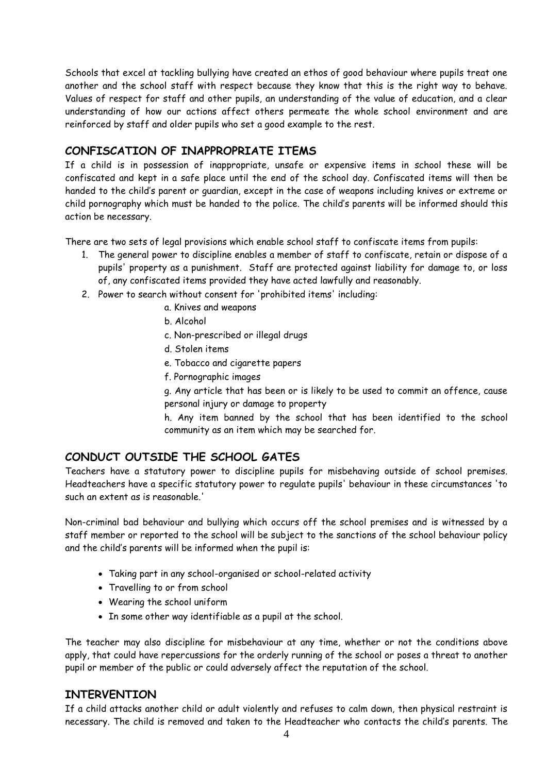Schools that excel at tackling bullying have created an ethos of good behaviour where pupils treat one another and the school staff with respect because they know that this is the right way to behave. Values of respect for staff and other pupils, an understanding of the value of education, and a clear understanding of how our actions affect others permeate the whole school environment and are reinforced by staff and older pupils who set a good example to the rest.

# **CONFISCATION OF INAPPROPRIATE ITEMS**

If a child is in possession of inappropriate, unsafe or expensive items in school these will be confiscated and kept in a safe place until the end of the school day. Confiscated items will then be handed to the child's parent or guardian, except in the case of weapons including knives or extreme or child pornography which must be handed to the police. The child's parents will be informed should this action be necessary.

There are two sets of legal provisions which enable school staff to confiscate items from pupils:

- 1. The general power to discipline enables a member of staff to confiscate, retain or dispose of a pupils' property as a punishment. Staff are protected against liability for damage to, or loss of, any confiscated items provided they have acted lawfully and reasonably.
- 2. Power to search without consent for 'prohibited items' including:
	- a. Knives and weapons
	- b. Alcohol
	- c. Non-prescribed or illegal drugs
	- d. Stolen items
	- e. Tobacco and cigarette papers
	- f. Pornographic images

g. Any article that has been or is likely to be used to commit an offence, cause personal injury or damage to property

h. Any item banned by the school that has been identified to the school community as an item which may be searched for.

# **CONDUCT OUTSIDE THE SCHOOL GATES**

Teachers have a statutory power to discipline pupils for misbehaving outside of school premises. Headteachers have a specific statutory power to regulate pupils' behaviour in these circumstances 'to such an extent as is reasonable.'

Non-criminal bad behaviour and bullying which occurs off the school premises and is witnessed by a staff member or reported to the school will be subject to the sanctions of the school behaviour policy and the child's parents will be informed when the pupil is:

- Taking part in any school-organised or school-related activity
- Travelling to or from school
- Wearing the school uniform
- In some other way identifiable as a pupil at the school.

The teacher may also discipline for misbehaviour at any time, whether or not the conditions above apply, that could have repercussions for the orderly running of the school or poses a threat to another pupil or member of the public or could adversely affect the reputation of the school.

## **INTERVENTION**

If a child attacks another child or adult violently and refuses to calm down, then physical restraint is necessary. The child is removed and taken to the Headteacher who contacts the child's parents. The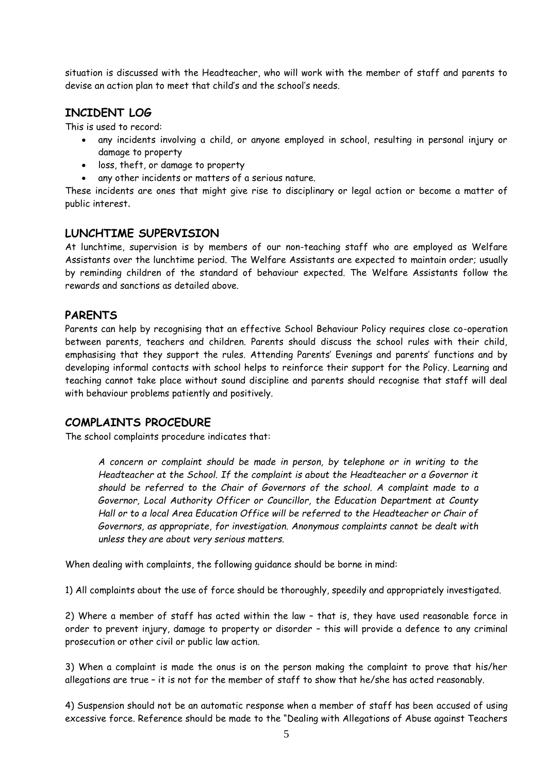situation is discussed with the Headteacher, who will work with the member of staff and parents to devise an action plan to meet that child's and the school's needs.

# **INCIDENT LOG**

This is used to record:

- any incidents involving a child, or anyone employed in school, resulting in personal injury or damage to property
- loss, theft, or damage to property
- any other incidents or matters of a serious nature.

These incidents are ones that might give rise to disciplinary or legal action or become a matter of public interest.

## **LUNCHTIME SUPERVISION**

At lunchtime, supervision is by members of our non-teaching staff who are employed as Welfare Assistants over the lunchtime period. The Welfare Assistants are expected to maintain order; usually by reminding children of the standard of behaviour expected. The Welfare Assistants follow the rewards and sanctions as detailed above.

# **PARENTS**

Parents can help by recognising that an effective School Behaviour Policy requires close co-operation between parents, teachers and children. Parents should discuss the school rules with their child, emphasising that they support the rules. Attending Parents' Evenings and parents' functions and by developing informal contacts with school helps to reinforce their support for the Policy. Learning and teaching cannot take place without sound discipline and parents should recognise that staff will deal with behaviour problems patiently and positively.

## **COMPLAINTS PROCEDURE**

The school complaints procedure indicates that:

*A concern or complaint should be made in person, by telephone or in writing to the Headteacher at the School. If the complaint is about the Headteacher or a Governor it should be referred to the Chair of Governors of the school. A complaint made to a Governor, Local Authority Officer or Councillor, the Education Department at County Hall or to a local Area Education Office will be referred to the Headteacher or Chair of Governors, as appropriate, for investigation. Anonymous complaints cannot be dealt with unless they are about very serious matters.* 

When dealing with complaints, the following guidance should be borne in mind:

1) All complaints about the use of force should be thoroughly, speedily and appropriately investigated.

2) Where a member of staff has acted within the law – that is, they have used reasonable force in order to prevent injury, damage to property or disorder – this will provide a defence to any criminal prosecution or other civil or public law action.

3) When a complaint is made the onus is on the person making the complaint to prove that his/her allegations are true – it is not for the member of staff to show that he/she has acted reasonably.

4) Suspension should not be an automatic response when a member of staff has been accused of using excessive force. Reference should be made to the "Dealing with Allegations of Abuse against Teachers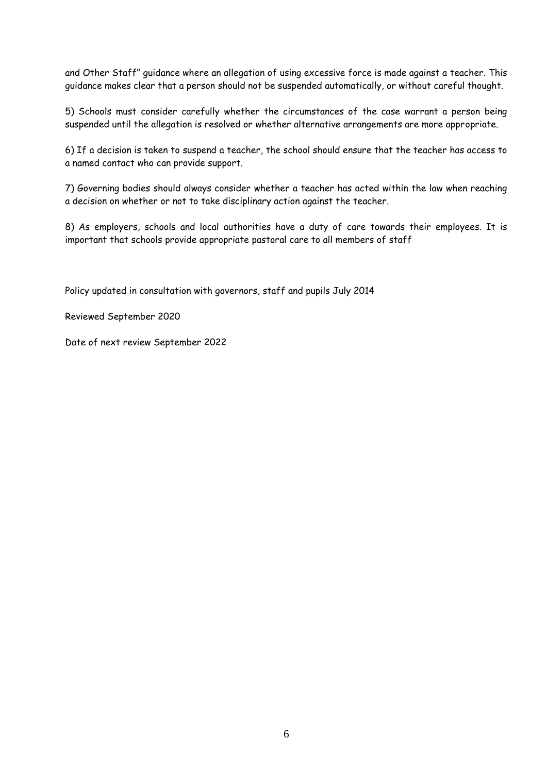and Other Staff" guidance where an allegation of using excessive force is made against a teacher. This guidance makes clear that a person should not be suspended automatically, or without careful thought.

5) Schools must consider carefully whether the circumstances of the case warrant a person being suspended until the allegation is resolved or whether alternative arrangements are more appropriate.

6) If a decision is taken to suspend a teacher, the school should ensure that the teacher has access to a named contact who can provide support.

7) Governing bodies should always consider whether a teacher has acted within the law when reaching a decision on whether or not to take disciplinary action against the teacher.

8) As employers, schools and local authorities have a duty of care towards their employees. It is important that schools provide appropriate pastoral care to all members of staff

Policy updated in consultation with governors, staff and pupils July 2014

Reviewed September 2020

Date of next review September 2022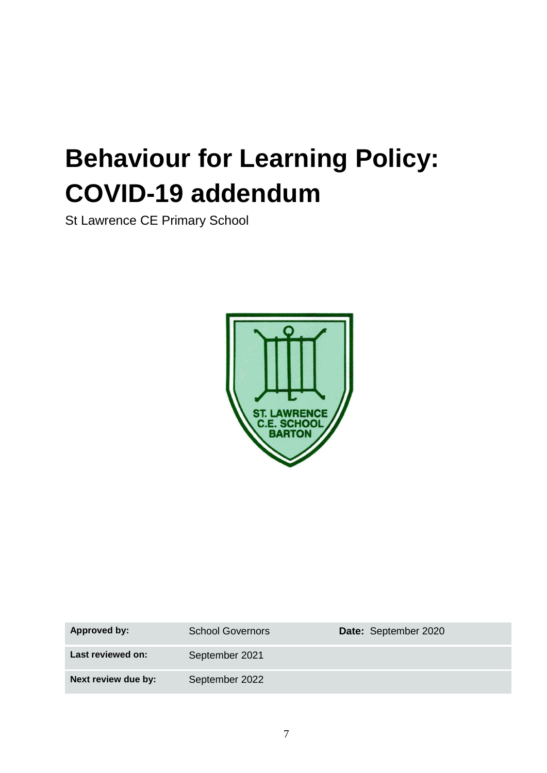# **Behaviour for Learning Policy: COVID-19 addendum**

St Lawrence CE Primary School



| Approved by:        | <b>School Governors</b> | Date: September 2020 |
|---------------------|-------------------------|----------------------|
| Last reviewed on:   | September 2021          |                      |
| Next review due by: | September 2022          |                      |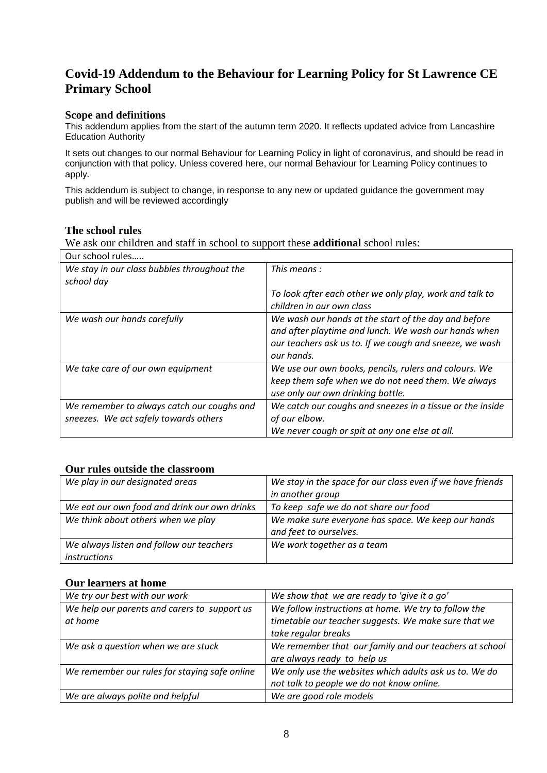# **Covid-19 Addendum to the Behaviour for Learning Policy for St Lawrence CE Primary School**

#### **Scope and definitions**

This addendum applies from the start of the autumn term 2020. It reflects updated advice from Lancashire Education Authority

It sets out changes to our normal Behaviour for Learning Policy in light of coronavirus, and should be read in conjunction with that policy. Unless covered here, our normal Behaviour for Learning Policy continues to apply.

This addendum is subject to change, in response to any new or updated guidance the government may publish and will be reviewed accordingly

#### **The school rules**

We ask our children and staff in school to support these **additional** school rules:

| Our school rules                            |                                                                                                                                                                                       |
|---------------------------------------------|---------------------------------------------------------------------------------------------------------------------------------------------------------------------------------------|
| We stay in our class bubbles throughout the | This means:                                                                                                                                                                           |
| school day                                  |                                                                                                                                                                                       |
|                                             | To look after each other we only play, work and talk to<br>children in our own class                                                                                                  |
| We wash our hands carefully                 | We wash our hands at the start of the day and before<br>and after playtime and lunch. We wash our hands when<br>our teachers ask us to. If we cough and sneeze, we wash<br>our hands. |
| We take care of our own equipment           | We use our own books, pencils, rulers and colours. We<br>keep them safe when we do not need them. We always<br>use only our own drinking bottle.                                      |
| We remember to always catch our coughs and  | We catch our coughs and sneezes in a tissue or the inside                                                                                                                             |
| sneezes. We act safely towards others       | of our elbow.                                                                                                                                                                         |
|                                             | We never cough or spit at any one else at all.                                                                                                                                        |

#### **Our rules outside the classroom**

| We play in our designated areas              | We stay in the space for our class even if we have friends |
|----------------------------------------------|------------------------------------------------------------|
|                                              | in another group                                           |
| We eat our own food and drink our own drinks | To keep safe we do not share our food                      |
| We think about others when we play           | We make sure everyone has space. We keep our hands         |
|                                              | and feet to ourselves.                                     |
| We always listen and follow our teachers     | We work together as a team                                 |
| instructions                                 |                                                            |

#### **Our learners at home**

| We try our best with our work                 | We show that we are ready to 'give it a go'            |
|-----------------------------------------------|--------------------------------------------------------|
| We help our parents and carers to support us  | We follow instructions at home. We try to follow the   |
| at home                                       | timetable our teacher suggests. We make sure that we   |
|                                               | take regular breaks                                    |
| We ask a question when we are stuck           | We remember that our family and our teachers at school |
|                                               | are always ready to help us                            |
| We remember our rules for staying safe online | We only use the websites which adults ask us to. We do |
|                                               | not talk to people we do not know online.              |
| We are always polite and helpful              | We are good role models                                |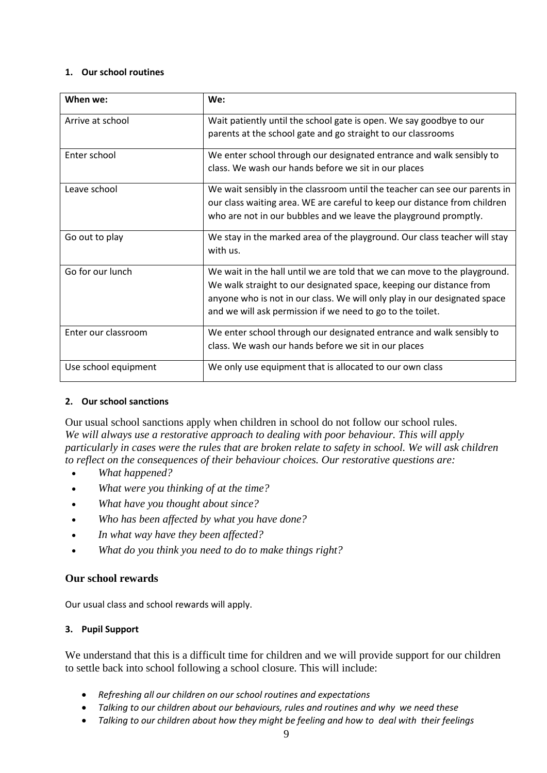#### **1. Our school routines**

| When we:             | We:                                                                                                                                                                                                                                                                                         |
|----------------------|---------------------------------------------------------------------------------------------------------------------------------------------------------------------------------------------------------------------------------------------------------------------------------------------|
| Arrive at school     | Wait patiently until the school gate is open. We say goodbye to our<br>parents at the school gate and go straight to our classrooms                                                                                                                                                         |
| Enter school         | We enter school through our designated entrance and walk sensibly to<br>class. We wash our hands before we sit in our places                                                                                                                                                                |
| Leave school         | We wait sensibly in the classroom until the teacher can see our parents in<br>our class waiting area. WE are careful to keep our distance from children<br>who are not in our bubbles and we leave the playground promptly.                                                                 |
| Go out to play       | We stay in the marked area of the playground. Our class teacher will stay<br>with us.                                                                                                                                                                                                       |
| Go for our lunch     | We wait in the hall until we are told that we can move to the playground.<br>We walk straight to our designated space, keeping our distance from<br>anyone who is not in our class. We will only play in our designated space<br>and we will ask permission if we need to go to the toilet. |
| Enter our classroom  | We enter school through our designated entrance and walk sensibly to<br>class. We wash our hands before we sit in our places                                                                                                                                                                |
| Use school equipment | We only use equipment that is allocated to our own class                                                                                                                                                                                                                                    |

#### **2. Our school sanctions**

Our usual school sanctions apply when children in school do not follow our school rules. *We will always use a restorative approach to dealing with poor behaviour. This will apply particularly in cases were the rules that are broken relate to safety in school. We will ask children to reflect on the consequences of their behaviour choices. Our restorative questions are:*

- *What happened?*
- *What were you thinking of at the time?*
- *What have you thought about since?*
- *Who has been affected by what you have done?*
- *In what way have they been affected?*
- *What do you think you need to do to make things right?*

## **Our school rewards**

Our usual class and school rewards will apply.

## **3. Pupil Support**

We understand that this is a difficult time for children and we will provide support for our children to settle back into school following a school closure. This will include:

- *Refreshing all our children on our school routines and expectations*
- *Talking to our children about our behaviours, rules and routines and why we need these*
- *Talking to our children about how they might be feeling and how to deal with their feelings*